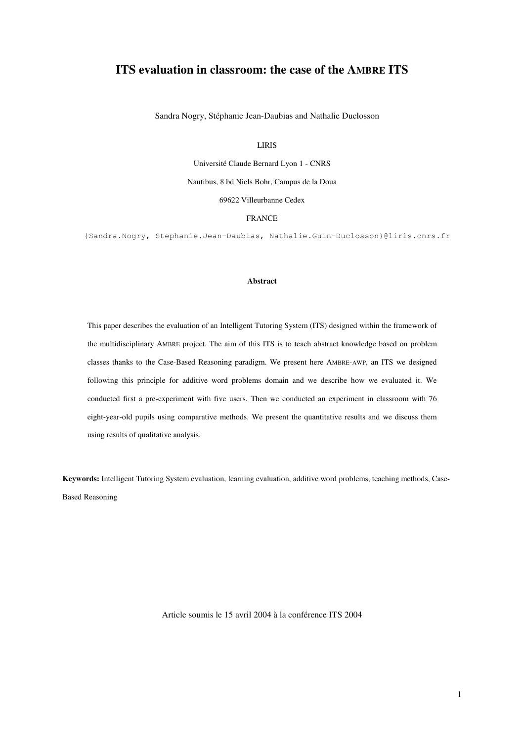# ITS evaluation in classroom: the case of the AMBRE ITS

Sandra Nogry, Stéphanie Jean-Daubias and Nathalie Duclosson

LIRIS

Université Claude Bernard Lyon 1 - CNRS Nautibus, 8 bd Niels Bohr, Campus de la Doua 69622 Villeurbanne Cedex

FRANCE

{Sandra.Nogry, Stephanie.Jean-Daubias, Nathalie.Guin-Duclosson}@liris.cnrs.fr

#### Abstract

This paper describes the evaluation of an Intelligent Tutoring System (ITS) designed within the framework of the multidisciplinary AMBRE project. The aim of this ITS is to teach abstract knowledge based on problem classes thanks to the Case-Based Reasoning paradigm. We present here AMBRE-AWP, an ITS we designed following this principle for additive word problems domain and we describe how we evaluated it. We conducted first a pre-experiment with five users. Then we conducted an experiment in classroom with 76 eight-year-old pupils using comparative methods. We present the quantitative results and we discuss them using results of qualitative analysis.

Keywords: Intelligent Tutoring System evaluation, learning evaluation, additive word problems, teaching methods, Case-Based Reasoning

Article soumis le 15 avril 2004 à la conférence ITS 2004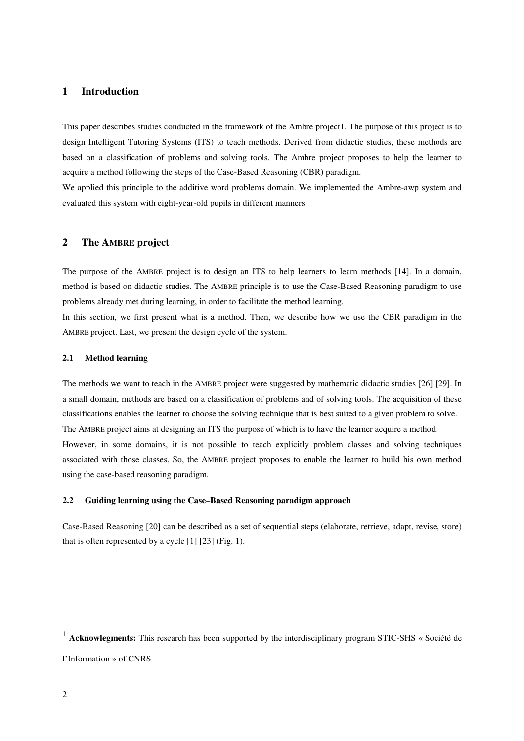## 1 Introduction

This paper describes studies conducted in the framework of the Ambre project1. The purpose of this project is to design Intelligent Tutoring Systems (ITS) to teach methods. Derived from didactic studies, these methods are based on a classification of problems and solving tools. The Ambre project proposes to help the learner to acquire a method following the steps of the Case-Based Reasoning (CBR) paradigm.

We applied this principle to the additive word problems domain. We implemented the Ambre-awp system and evaluated this system with eight-year-old pupils in different manners.

## 2 The AMBRE project

The purpose of the AMBRE project is to design an ITS to help learners to learn methods [14]. In a domain, method is based on didactic studies. The AMBRE principle is to use the Case-Based Reasoning paradigm to use problems already met during learning, in order to facilitate the method learning.

In this section, we first present what is a method. Then, we describe how we use the CBR paradigm in the AMBRE project. Last, we present the design cycle of the system.

### 2.1 Method learning

The methods we want to teach in the AMBRE project were suggested by mathematic didactic studies [26] [29]. In a small domain, methods are based on a classification of problems and of solving tools. The acquisition of these classifications enables the learner to choose the solving technique that is best suited to a given problem to solve. The AMBRE project aims at designing an ITS the purpose of which is to have the learner acquire a method. However, in some domains, it is not possible to teach explicitly problem classes and solving techniques associated with those classes. So, the AMBRE project proposes to enable the learner to build his own method using the case-based reasoning paradigm.

### 2.2 Guiding learning using the Case–Based Reasoning paradigm approach

Case-Based Reasoning [20] can be described as a set of sequential steps (elaborate, retrieve, adapt, revise, store) that is often represented by a cycle [1] [23] (Fig. 1).

 $\overline{\phantom{a}}$ 

 $<sup>1</sup>$  Acknowlegments: This research has been supported by the interdisciplinary program STIC-SHS « Société de</sup> l'Information » of CNRS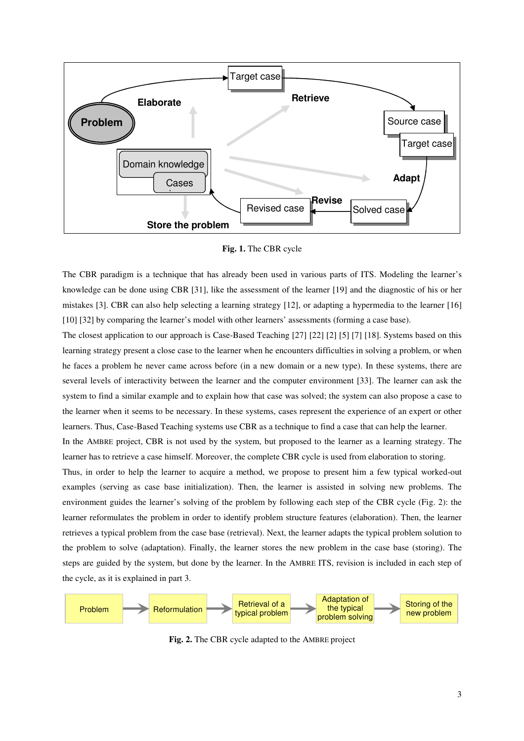

Fig. 1. The CBR cycle

The CBR paradigm is a technique that has already been used in various parts of ITS. Modeling the learner's knowledge can be done using CBR [31], like the assessment of the learner [19] and the diagnostic of his or her mistakes [3]. CBR can also help selecting a learning strategy [12], or adapting a hypermedia to the learner [16] [10] [32] by comparing the learner's model with other learners' assessments (forming a case base).

The closest application to our approach is Case-Based Teaching [27] [22] [2] [5] [7] [18]. Systems based on this learning strategy present a close case to the learner when he encounters difficulties in solving a problem, or when he faces a problem he never came across before (in a new domain or a new type). In these systems, there are several levels of interactivity between the learner and the computer environment [33]. The learner can ask the system to find a similar example and to explain how that case was solved; the system can also propose a case to the learner when it seems to be necessary. In these systems, cases represent the experience of an expert or other learners. Thus, Case-Based Teaching systems use CBR as a technique to find a case that can help the learner.

In the AMBRE project, CBR is not used by the system, but proposed to the learner as a learning strategy. The learner has to retrieve a case himself. Moreover, the complete CBR cycle is used from elaboration to storing.

Thus, in order to help the learner to acquire a method, we propose to present him a few typical worked-out examples (serving as case base initialization). Then, the learner is assisted in solving new problems. The environment guides the learner's solving of the problem by following each step of the CBR cycle (Fig. 2): the learner reformulates the problem in order to identify problem structure features (elaboration). Then, the learner retrieves a typical problem from the case base (retrieval). Next, the learner adapts the typical problem solution to the problem to solve (adaptation). Finally, the learner stores the new problem in the case base (storing). The steps are guided by the system, but done by the learner. In the AMBRE ITS, revision is included in each step of the cycle, as it is explained in part 3.



Fig. 2. The CBR cycle adapted to the AMBRE project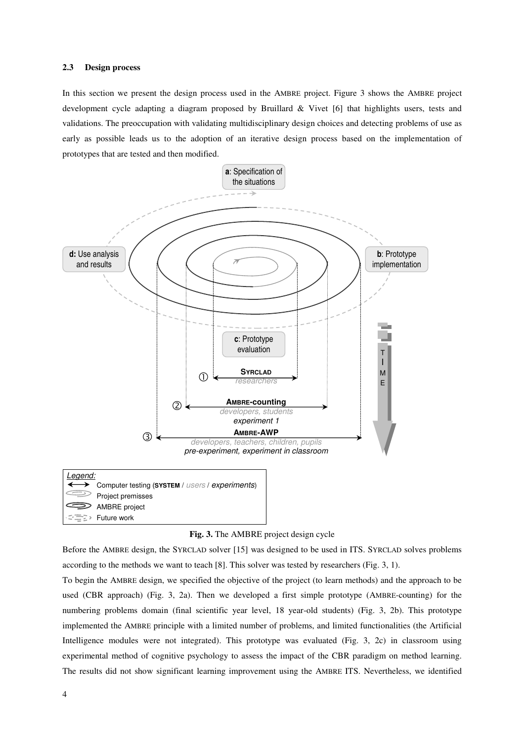#### 2.3 Design process

In this section we present the design process used in the AMBRE project. Figure 3 shows the AMBRE project development cycle adapting a diagram proposed by Bruillard & Vivet [6] that highlights users, tests and validations. The preoccupation with validating multidisciplinary design choices and detecting problems of use as early as possible leads us to the adoption of an iterative design process based on the implementation of prototypes that are tested and then modified.



Fig. 3. The AMBRE project design cycle

Before the AMBRE design, the SYRCLAD solver [15] was designed to be used in ITS. SYRCLAD solves problems according to the methods we want to teach [8]. This solver was tested by researchers (Fig. 3, 1).

To begin the AMBRE design, we specified the objective of the project (to learn methods) and the approach to be used (CBR approach) (Fig. 3, 2a). Then we developed a first simple prototype (AMBRE-counting) for the numbering problems domain (final scientific year level, 18 year-old students) (Fig. 3, 2b). This prototype implemented the AMBRE principle with a limited number of problems, and limited functionalities (the Artificial Intelligence modules were not integrated). This prototype was evaluated (Fig. 3, 2c) in classroom using experimental method of cognitive psychology to assess the impact of the CBR paradigm on method learning. The results did not show significant learning improvement using the AMBRE ITS. Nevertheless, we identified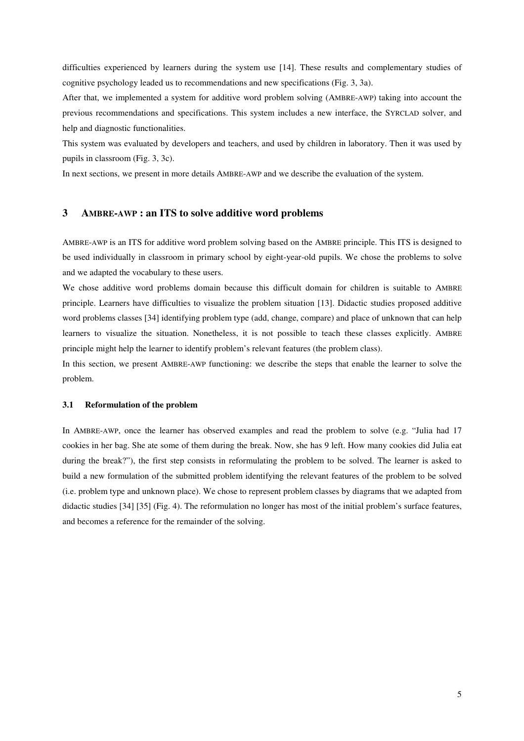difficulties experienced by learners during the system use [14]. These results and complementary studies of cognitive psychology leaded us to recommendations and new specifications (Fig. 3, 3a).

After that, we implemented a system for additive word problem solving (AMBRE-AWP) taking into account the previous recommendations and specifications. This system includes a new interface, the SYRCLAD solver, and help and diagnostic functionalities.

This system was evaluated by developers and teachers, and used by children in laboratory. Then it was used by pupils in classroom (Fig. 3, 3c).

In next sections, we present in more details AMBRE-AWP and we describe the evaluation of the system.

## 3 AMBRE-AWP : an ITS to solve additive word problems

AMBRE-AWP is an ITS for additive word problem solving based on the AMBRE principle. This ITS is designed to be used individually in classroom in primary school by eight-year-old pupils. We chose the problems to solve and we adapted the vocabulary to these users.

We chose additive word problems domain because this difficult domain for children is suitable to AMBRE principle. Learners have difficulties to visualize the problem situation [13]. Didactic studies proposed additive word problems classes [34] identifying problem type (add, change, compare) and place of unknown that can help learners to visualize the situation. Nonetheless, it is not possible to teach these classes explicitly. AMBRE principle might help the learner to identify problem's relevant features (the problem class).

In this section, we present AMBRE-AWP functioning: we describe the steps that enable the learner to solve the problem.

#### 3.1 Reformulation of the problem

In AMBRE-AWP, once the learner has observed examples and read the problem to solve (e.g. "Julia had 17 cookies in her bag. She ate some of them during the break. Now, she has 9 left. How many cookies did Julia eat during the break?"), the first step consists in reformulating the problem to be solved. The learner is asked to build a new formulation of the submitted problem identifying the relevant features of the problem to be solved (i.e. problem type and unknown place). We chose to represent problem classes by diagrams that we adapted from didactic studies [34] [35] (Fig. 4). The reformulation no longer has most of the initial problem's surface features, and becomes a reference for the remainder of the solving.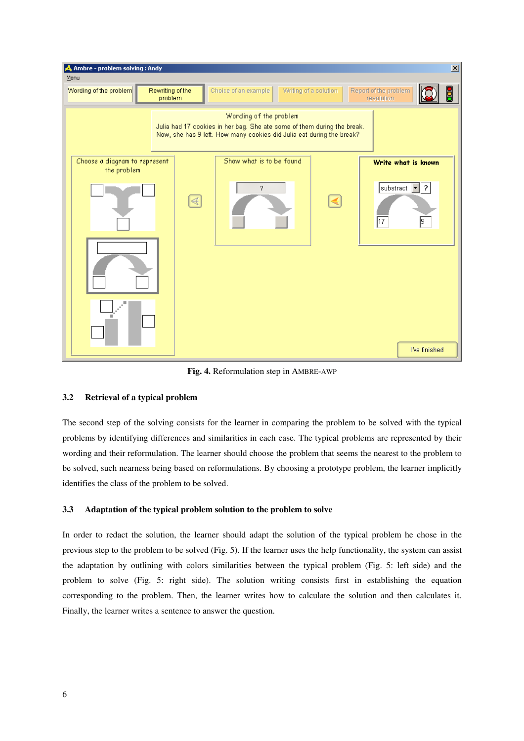

Fig. 4. Reformulation step in AMBRE-AWP

## 3.2 Retrieval of a typical problem

The second step of the solving consists for the learner in comparing the problem to be solved with the typical problems by identifying differences and similarities in each case. The typical problems are represented by their wording and their reformulation. The learner should choose the problem that seems the nearest to the problem to be solved, such nearness being based on reformulations. By choosing a prototype problem, the learner implicitly identifies the class of the problem to be solved.

## 3.3 Adaptation of the typical problem solution to the problem to solve

In order to redact the solution, the learner should adapt the solution of the typical problem he chose in the previous step to the problem to be solved (Fig. 5). If the learner uses the help functionality, the system can assist the adaptation by outlining with colors similarities between the typical problem (Fig. 5: left side) and the problem to solve (Fig. 5: right side). The solution writing consists first in establishing the equation corresponding to the problem. Then, the learner writes how to calculate the solution and then calculates it. Finally, the learner writes a sentence to answer the question.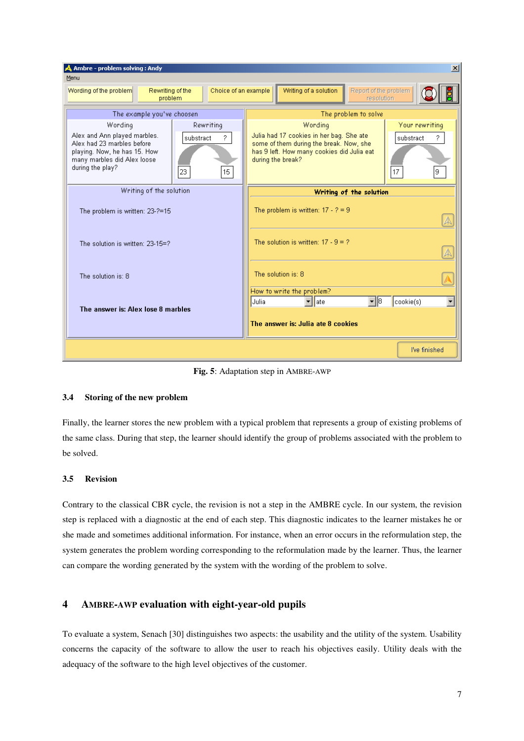| A Ambre - problem solving: Andy<br>$ \mathbf{x} $                                                                                                                                                   |                                                                                                                                                                                                             |
|-----------------------------------------------------------------------------------------------------------------------------------------------------------------------------------------------------|-------------------------------------------------------------------------------------------------------------------------------------------------------------------------------------------------------------|
| Menu                                                                                                                                                                                                |                                                                                                                                                                                                             |
| Choice of an example<br>Wording of the problem<br>Rewriting of the<br>problem                                                                                                                       | Writing of a solution<br>Report of the problem<br>resolution                                                                                                                                                |
| The example you've choosen                                                                                                                                                                          | The problem to solve                                                                                                                                                                                        |
| Wording<br>Rewriting<br>Alex and Ann played marbles.<br>substract<br>?<br>Alex had 23 marbles before<br>playing. Now, he has 15. How<br>many marbles did Alex loose<br>during the play?<br>15<br>23 | Your rewriting<br>Wording<br>Julia had 17 cookies in her bag. She ate<br>substract<br>some of them during the break. Now, she<br>has 9 left. How many cookies did Julia eat<br>during the break?<br>17<br>9 |
| Writing of the solution                                                                                                                                                                             | Writing of the solution                                                                                                                                                                                     |
| The problem is written: 23-?=15                                                                                                                                                                     | The problem is written: $17 - ? = 9$<br>A                                                                                                                                                                   |
| The solution is written: 23-15=?                                                                                                                                                                    | The solution is written: $17 - 9 = ?$<br>A                                                                                                                                                                  |
| The solution is: 8                                                                                                                                                                                  | The solution is: 8                                                                                                                                                                                          |
| The answer is: Alex lose 8 marbles                                                                                                                                                                  | How to write the problem?<br>$\overline{\phantom{0}}$<br>$\mathbf{F}$  8<br>cookie(s)<br>Julia<br>late<br>The answer is: Julia ate 8 cookies                                                                |
|                                                                                                                                                                                                     |                                                                                                                                                                                                             |
|                                                                                                                                                                                                     | I've finished                                                                                                                                                                                               |

Fig. 5: Adaptation step in AMBRE-AWP

## 3.4 Storing of the new problem

Finally, the learner stores the new problem with a typical problem that represents a group of existing problems of the same class. During that step, the learner should identify the group of problems associated with the problem to be solved.

## 3.5 Revision

Contrary to the classical CBR cycle, the revision is not a step in the AMBRE cycle. In our system, the revision step is replaced with a diagnostic at the end of each step. This diagnostic indicates to the learner mistakes he or she made and sometimes additional information. For instance, when an error occurs in the reformulation step, the system generates the problem wording corresponding to the reformulation made by the learner. Thus, the learner can compare the wording generated by the system with the wording of the problem to solve.

## 4 AMBRE-AWP evaluation with eight-year-old pupils

To evaluate a system, Senach [30] distinguishes two aspects: the usability and the utility of the system. Usability concerns the capacity of the software to allow the user to reach his objectives easily. Utility deals with the adequacy of the software to the high level objectives of the customer.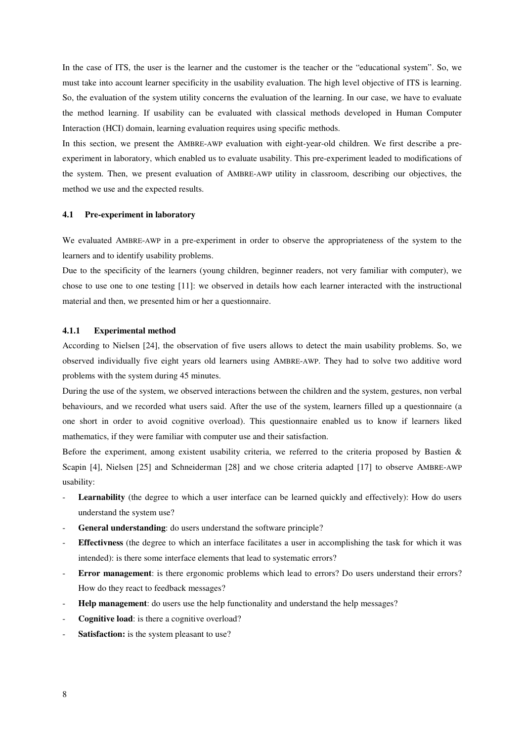In the case of ITS, the user is the learner and the customer is the teacher or the "educational system". So, we must take into account learner specificity in the usability evaluation. The high level objective of ITS is learning. So, the evaluation of the system utility concerns the evaluation of the learning. In our case, we have to evaluate the method learning. If usability can be evaluated with classical methods developed in Human Computer Interaction (HCI) domain, learning evaluation requires using specific methods.

In this section, we present the AMBRE-AWP evaluation with eight-year-old children. We first describe a preexperiment in laboratory, which enabled us to evaluate usability. This pre-experiment leaded to modifications of the system. Then, we present evaluation of AMBRE-AWP utility in classroom, describing our objectives, the method we use and the expected results.

#### 4.1 Pre-experiment in laboratory

We evaluated AMBRE-AWP in a pre-experiment in order to observe the appropriateness of the system to the learners and to identify usability problems.

Due to the specificity of the learners (young children, beginner readers, not very familiar with computer), we chose to use one to one testing [11]: we observed in details how each learner interacted with the instructional material and then, we presented him or her a questionnaire.

#### 4.1.1 Experimental method

According to Nielsen [24], the observation of five users allows to detect the main usability problems. So, we observed individually five eight years old learners using AMBRE-AWP. They had to solve two additive word problems with the system during 45 minutes.

During the use of the system, we observed interactions between the children and the system, gestures, non verbal behaviours, and we recorded what users said. After the use of the system, learners filled up a questionnaire (a one short in order to avoid cognitive overload). This questionnaire enabled us to know if learners liked mathematics, if they were familiar with computer use and their satisfaction.

Before the experiment, among existent usability criteria, we referred to the criteria proposed by Bastien & Scapin [4], Nielsen [25] and Schneiderman [28] and we chose criteria adapted [17] to observe AMBRE-AWP usability:

- Learnability (the degree to which a user interface can be learned quickly and effectively): How do users understand the system use?
- General understanding: do users understand the software principle?
- Effectivness (the degree to which an interface facilitates a user in accomplishing the task for which it was intended): is there some interface elements that lead to systematic errors?
- Error management: is there ergonomic problems which lead to errors? Do users understand their errors? How do they react to feedback messages?
- Help management: do users use the help functionality and understand the help messages?
- Cognitive load: is there a cognitive overload?
- Satisfaction: is the system pleasant to use?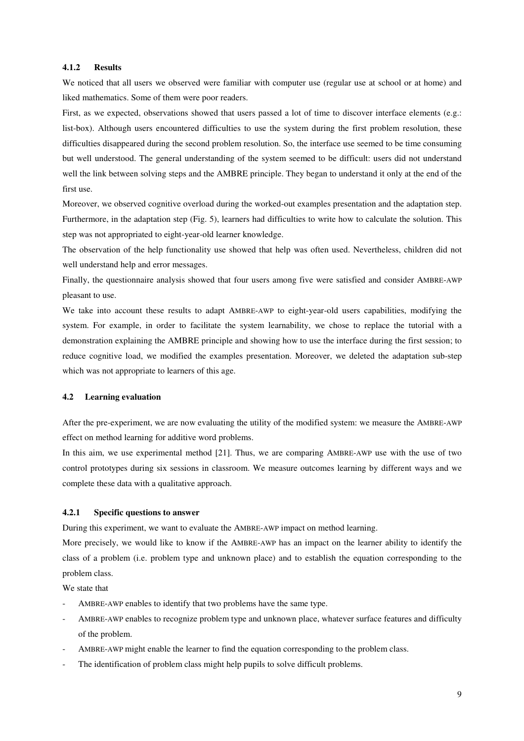## 4.1.2 Results

We noticed that all users we observed were familiar with computer use (regular use at school or at home) and liked mathematics. Some of them were poor readers.

First, as we expected, observations showed that users passed a lot of time to discover interface elements (e.g.: list-box). Although users encountered difficulties to use the system during the first problem resolution, these difficulties disappeared during the second problem resolution. So, the interface use seemed to be time consuming but well understood. The general understanding of the system seemed to be difficult: users did not understand well the link between solving steps and the AMBRE principle. They began to understand it only at the end of the first use.

Moreover, we observed cognitive overload during the worked-out examples presentation and the adaptation step. Furthermore, in the adaptation step (Fig. 5), learners had difficulties to write how to calculate the solution. This step was not appropriated to eight-year-old learner knowledge.

The observation of the help functionality use showed that help was often used. Nevertheless, children did not well understand help and error messages.

Finally, the questionnaire analysis showed that four users among five were satisfied and consider AMBRE-AWP pleasant to use.

We take into account these results to adapt AMBRE-AWP to eight-year-old users capabilities, modifying the system. For example, in order to facilitate the system learnability, we chose to replace the tutorial with a demonstration explaining the AMBRE principle and showing how to use the interface during the first session; to reduce cognitive load, we modified the examples presentation. Moreover, we deleted the adaptation sub-step which was not appropriate to learners of this age.

#### 4.2 Learning evaluation

After the pre-experiment, we are now evaluating the utility of the modified system: we measure the AMBRE-AWP effect on method learning for additive word problems.

In this aim, we use experimental method [21]. Thus, we are comparing AMBRE-AWP use with the use of two control prototypes during six sessions in classroom. We measure outcomes learning by different ways and we complete these data with a qualitative approach.

#### 4.2.1 Specific questions to answer

During this experiment, we want to evaluate the AMBRE-AWP impact on method learning.

More precisely, we would like to know if the AMBRE-AWP has an impact on the learner ability to identify the class of a problem (i.e. problem type and unknown place) and to establish the equation corresponding to the problem class.

We state that

- AMBRE-AWP enables to identify that two problems have the same type.
- AMBRE-AWP enables to recognize problem type and unknown place, whatever surface features and difficulty of the problem.
- AMBRE-AWP might enable the learner to find the equation corresponding to the problem class.
- The identification of problem class might help pupils to solve difficult problems.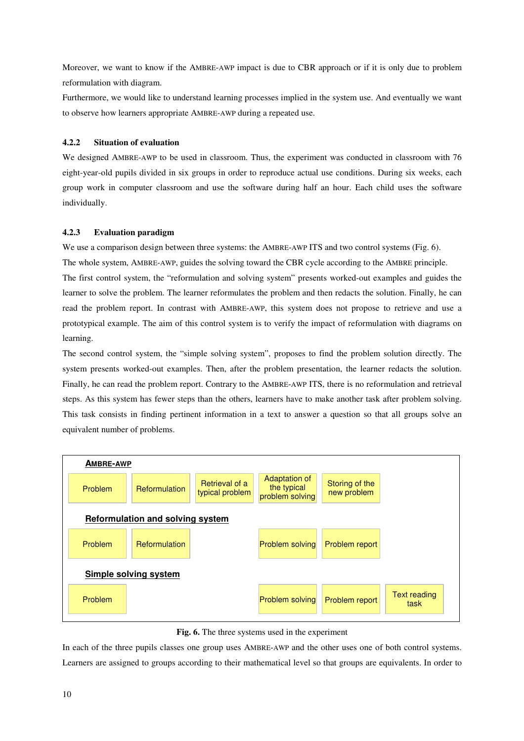Moreover, we want to know if the AMBRE-AWP impact is due to CBR approach or if it is only due to problem reformulation with diagram.

Furthermore, we would like to understand learning processes implied in the system use. And eventually we want to observe how learners appropriate AMBRE-AWP during a repeated use.

## 4.2.2 Situation of evaluation

We designed AMBRE-AWP to be used in classroom. Thus, the experiment was conducted in classroom with 76 eight-year-old pupils divided in six groups in order to reproduce actual use conditions. During six weeks, each group work in computer classroom and use the software during half an hour. Each child uses the software individually.

## 4.2.3 Evaluation paradigm

We use a comparison design between three systems: the AMBRE-AWP ITS and two control systems (Fig. 6). The whole system, AMBRE-AWP, guides the solving toward the CBR cycle according to the AMBRE principle. The first control system, the "reformulation and solving system" presents worked-out examples and guides the learner to solve the problem. The learner reformulates the problem and then redacts the solution. Finally, he can read the problem report. In contrast with AMBRE-AWP, this system does not propose to retrieve and use a prototypical example. The aim of this control system is to verify the impact of reformulation with diagrams on learning.

The second control system, the "simple solving system", proposes to find the problem solution directly. The system presents worked-out examples. Then, after the problem presentation, the learner redacts the solution. Finally, he can read the problem report. Contrary to the AMBRE-AWP ITS, there is no reformulation and retrieval steps. As this system has fewer steps than the others, learners have to make another task after problem solving. This task consists in finding pertinent information in a text to answer a question so that all groups solve an equivalent number of problems.



Fig. 6. The three systems used in the experiment

In each of the three pupils classes one group uses AMBRE-AWP and the other uses one of both control systems. Learners are assigned to groups according to their mathematical level so that groups are equivalents. In order to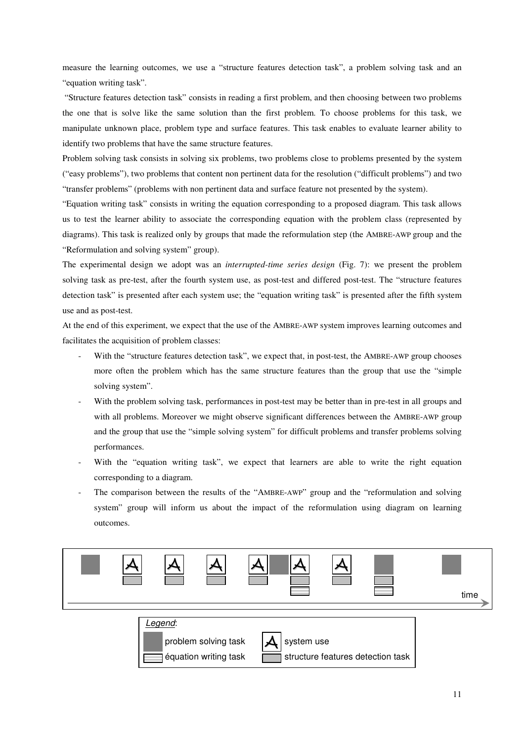measure the learning outcomes, we use a "structure features detection task", a problem solving task and an "equation writing task".

 "Structure features detection task" consists in reading a first problem, and then choosing between two problems the one that is solve like the same solution than the first problem. To choose problems for this task, we manipulate unknown place, problem type and surface features. This task enables to evaluate learner ability to identify two problems that have the same structure features.

Problem solving task consists in solving six problems, two problems close to problems presented by the system ("easy problems"), two problems that content non pertinent data for the resolution ("difficult problems") and two "transfer problems" (problems with non pertinent data and surface feature not presented by the system).

"Equation writing task" consists in writing the equation corresponding to a proposed diagram. This task allows us to test the learner ability to associate the corresponding equation with the problem class (represented by diagrams). This task is realized only by groups that made the reformulation step (the AMBRE-AWP group and the "Reformulation and solving system" group).

The experimental design we adopt was an *interrupted-time series design* (Fig. 7): we present the problem solving task as pre-test, after the fourth system use, as post-test and differed post-test. The "structure features detection task" is presented after each system use; the "equation writing task" is presented after the fifth system use and as post-test.

At the end of this experiment, we expect that the use of the AMBRE-AWP system improves learning outcomes and facilitates the acquisition of problem classes:

- With the "structure features detection task", we expect that, in post-test, the AMBRE-AWP group chooses more often the problem which has the same structure features than the group that use the "simple solving system".
- With the problem solving task, performances in post-test may be better than in pre-test in all groups and with all problems. Moreover we might observe significant differences between the AMBRE-AWP group and the group that use the "simple solving system" for difficult problems and transfer problems solving performances.
- With the "equation writing task", we expect that learners are able to write the right equation corresponding to a diagram.
- The comparison between the results of the "AMBRE-AWP" group and the "reformulation and solving system" group will inform us about the impact of the reformulation using diagram on learning outcomes.



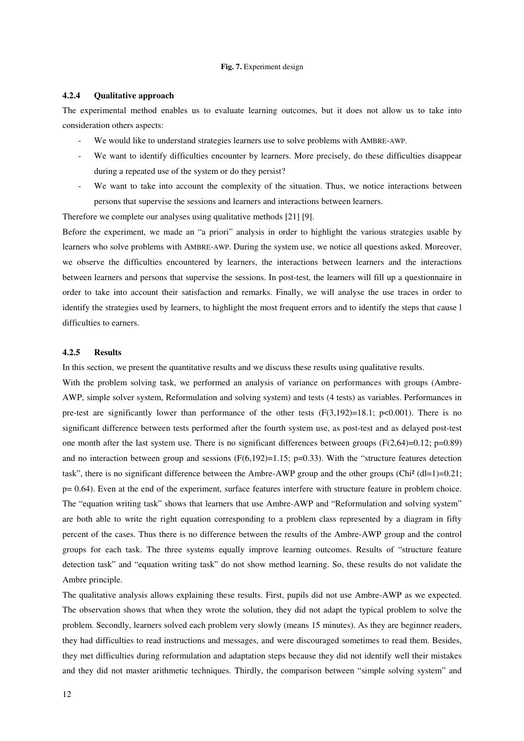#### Fig. 7. Experiment design

### 4.2.4 Qualitative approach

The experimental method enables us to evaluate learning outcomes, but it does not allow us to take into consideration others aspects:

- We would like to understand strategies learners use to solve problems with AMBRE-AWP.
- We want to identify difficulties encounter by learners. More precisely, do these difficulties disappear during a repeated use of the system or do they persist?
- We want to take into account the complexity of the situation. Thus, we notice interactions between persons that supervise the sessions and learners and interactions between learners.

Therefore we complete our analyses using qualitative methods [21] [9].

Before the experiment, we made an "a priori" analysis in order to highlight the various strategies usable by learners who solve problems with AMBRE-AWP. During the system use, we notice all questions asked. Moreover, we observe the difficulties encountered by learners, the interactions between learners and the interactions between learners and persons that supervise the sessions. In post-test, the learners will fill up a questionnaire in order to take into account their satisfaction and remarks. Finally, we will analyse the use traces in order to identify the strategies used by learners, to highlight the most frequent errors and to identify the steps that cause l difficulties to earners.

## 4.2.5 Results

In this section, we present the quantitative results and we discuss these results using qualitative results.

With the problem solving task, we performed an analysis of variance on performances with groups (Ambre-AWP, simple solver system, Reformulation and solving system) and tests (4 tests) as variables. Performances in pre-test are significantly lower than performance of the other tests  $(F(3,192)=18.1; p<0.001)$ . There is no significant difference between tests performed after the fourth system use, as post-test and as delayed post-test one month after the last system use. There is no significant differences between groups  $(F(2,64)=0.12; p=0.89)$ and no interaction between group and sessions  $(F(6,192)=1.15; p=0.33)$ . With the "structure features detection task", there is no significant difference between the Ambre-AWP group and the other groups (Chi<sup>2</sup> (dl=1)=0.21;  $p= 0.64$ ). Even at the end of the experiment, surface features interfere with structure feature in problem choice. The "equation writing task" shows that learners that use Ambre-AWP and "Reformulation and solving system" are both able to write the right equation corresponding to a problem class represented by a diagram in fifty percent of the cases. Thus there is no difference between the results of the Ambre-AWP group and the control groups for each task. The three systems equally improve learning outcomes. Results of "structure feature detection task" and "equation writing task" do not show method learning. So, these results do not validate the Ambre principle.

The qualitative analysis allows explaining these results. First, pupils did not use Ambre-AWP as we expected. The observation shows that when they wrote the solution, they did not adapt the typical problem to solve the problem. Secondly, learners solved each problem very slowly (means 15 minutes). As they are beginner readers, they had difficulties to read instructions and messages, and were discouraged sometimes to read them. Besides, they met difficulties during reformulation and adaptation steps because they did not identify well their mistakes and they did not master arithmetic techniques. Thirdly, the comparison between "simple solving system" and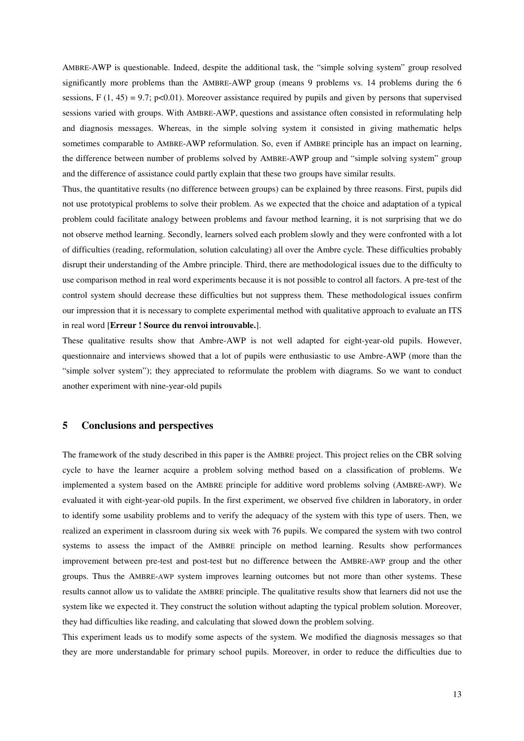AMBRE-AWP is questionable. Indeed, despite the additional task, the "simple solving system" group resolved significantly more problems than the AMBRE-AWP group (means 9 problems vs. 14 problems during the 6 sessions,  $F(1, 45) = 9.7$ ; p<0.01). Moreover assistance required by pupils and given by persons that supervised sessions varied with groups. With AMBRE-AWP, questions and assistance often consisted in reformulating help and diagnosis messages. Whereas, in the simple solving system it consisted in giving mathematic helps sometimes comparable to AMBRE-AWP reformulation. So, even if AMBRE principle has an impact on learning, the difference between number of problems solved by AMBRE-AWP group and "simple solving system" group and the difference of assistance could partly explain that these two groups have similar results.

Thus, the quantitative results (no difference between groups) can be explained by three reasons. First, pupils did not use prototypical problems to solve their problem. As we expected that the choice and adaptation of a typical problem could facilitate analogy between problems and favour method learning, it is not surprising that we do not observe method learning. Secondly, learners solved each problem slowly and they were confronted with a lot of difficulties (reading, reformulation, solution calculating) all over the Ambre cycle. These difficulties probably disrupt their understanding of the Ambre principle. Third, there are methodological issues due to the difficulty to use comparison method in real word experiments because it is not possible to control all factors. A pre-test of the control system should decrease these difficulties but not suppress them. These methodological issues confirm our impression that it is necessary to complete experimental method with qualitative approach to evaluate an ITS in real word [Erreur ! Source du renvoi introuvable.].

These qualitative results show that Ambre-AWP is not well adapted for eight-year-old pupils. However, questionnaire and interviews showed that a lot of pupils were enthusiastic to use Ambre-AWP (more than the "simple solver system"); they appreciated to reformulate the problem with diagrams. So we want to conduct another experiment with nine-year-old pupils

## 5 Conclusions and perspectives

The framework of the study described in this paper is the AMBRE project. This project relies on the CBR solving cycle to have the learner acquire a problem solving method based on a classification of problems. We implemented a system based on the AMBRE principle for additive word problems solving (AMBRE-AWP). We evaluated it with eight-year-old pupils. In the first experiment, we observed five children in laboratory, in order to identify some usability problems and to verify the adequacy of the system with this type of users. Then, we realized an experiment in classroom during six week with 76 pupils. We compared the system with two control systems to assess the impact of the AMBRE principle on method learning. Results show performances improvement between pre-test and post-test but no difference between the AMBRE-AWP group and the other groups. Thus the AMBRE-AWP system improves learning outcomes but not more than other systems. These results cannot allow us to validate the AMBRE principle. The qualitative results show that learners did not use the system like we expected it. They construct the solution without adapting the typical problem solution. Moreover, they had difficulties like reading, and calculating that slowed down the problem solving.

This experiment leads us to modify some aspects of the system. We modified the diagnosis messages so that they are more understandable for primary school pupils. Moreover, in order to reduce the difficulties due to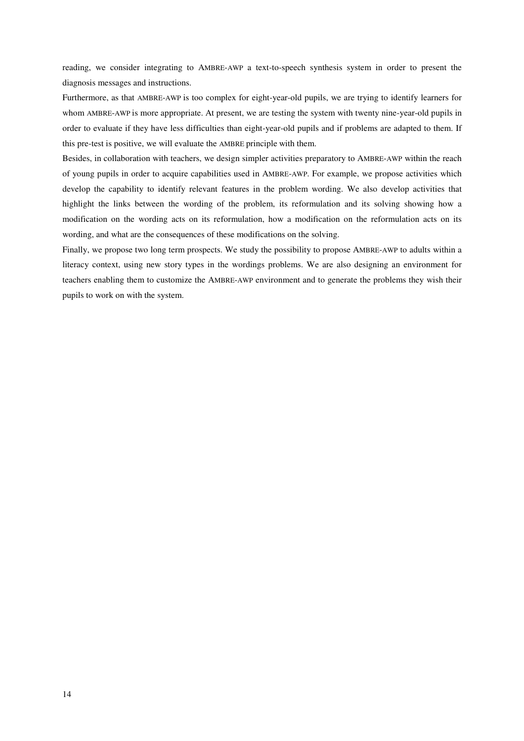reading, we consider integrating to AMBRE-AWP a text-to-speech synthesis system in order to present the diagnosis messages and instructions.

Furthermore, as that AMBRE-AWP is too complex for eight-year-old pupils, we are trying to identify learners for whom AMBRE-AWP is more appropriate. At present, we are testing the system with twenty nine-year-old pupils in order to evaluate if they have less difficulties than eight-year-old pupils and if problems are adapted to them. If this pre-test is positive, we will evaluate the AMBRE principle with them.

Besides, in collaboration with teachers, we design simpler activities preparatory to AMBRE-AWP within the reach of young pupils in order to acquire capabilities used in AMBRE-AWP. For example, we propose activities which develop the capability to identify relevant features in the problem wording. We also develop activities that highlight the links between the wording of the problem, its reformulation and its solving showing how a modification on the wording acts on its reformulation, how a modification on the reformulation acts on its wording, and what are the consequences of these modifications on the solving.

Finally, we propose two long term prospects. We study the possibility to propose AMBRE-AWP to adults within a literacy context, using new story types in the wordings problems. We are also designing an environment for teachers enabling them to customize the AMBRE-AWP environment and to generate the problems they wish their pupils to work on with the system.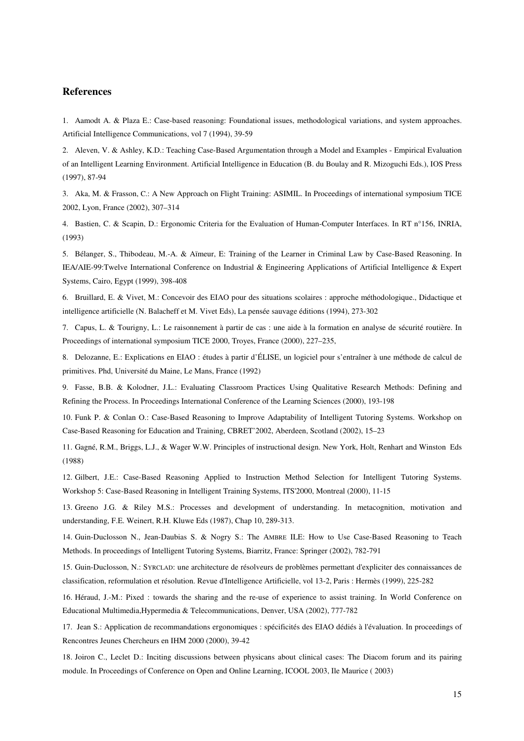## References

1. Aamodt A. & Plaza E.: Case-based reasoning: Foundational issues, methodological variations, and system approaches. Artificial Intelligence Communications, vol 7 (1994), 39-59

2. Aleven, V. & Ashley, K.D.: Teaching Case-Based Argumentation through a Model and Examples - Empirical Evaluation of an Intelligent Learning Environment. Artificial Intelligence in Education (B. du Boulay and R. Mizoguchi Eds.), IOS Press (1997), 87-94

3. Aka, M. & Frasson, C.: A New Approach on Flight Training: ASIMIL. In Proceedings of international symposium TICE 2002, Lyon, France (2002), 307–314

4. Bastien, C. & Scapin, D.: Ergonomic Criteria for the Evaluation of Human-Computer Interfaces. In RT n°156, INRIA, (1993)

5. Bélanger, S., Thibodeau, M.-A. & Aïmeur, E: Training of the Learner in Criminal Law by Case-Based Reasoning. In IEA/AIE-99:Twelve International Conference on Industrial & Engineering Applications of Artificial Intelligence & Expert Systems, Cairo, Egypt (1999), 398-408

6. Bruillard, E. & Vivet, M.: Concevoir des EIAO pour des situations scolaires : approche méthodologique., Didactique et intelligence artificielle (N. Balacheff et M. Vivet Eds), La pensée sauvage éditions (1994), 273-302

7. Capus, L. & Tourigny, L.: Le raisonnement à partir de cas : une aide à la formation en analyse de sécurité routière. In Proceedings of international symposium TICE 2000, Troyes, France (2000), 227–235,

8. Delozanne, E.: Explications en EIAO : études à partir d'ÉLISE, un logiciel pour s'entraîner à une méthode de calcul de primitives. Phd, Université du Maine, Le Mans, France (1992)

9. Fasse, B.B. & Kolodner, J.L.: Evaluating Classroom Practices Using Qualitative Research Methods: Defining and Refining the Process. In Proceedings International Conference of the Learning Sciences (2000), 193-198

10. Funk P. & Conlan O.: Case-Based Reasoning to Improve Adaptability of Intelligent Tutoring Systems. Workshop on Case-Based Reasoning for Education and Training, CBRET'2002, Aberdeen, Scotland (2002), 15–23

11. Gagné, R.M., Briggs, L.J., & Wager W.W. Principles of instructional design. New York, Holt, Renhart and Winston Eds (1988)

12. Gilbert, J.E.: Case-Based Reasoning Applied to Instruction Method Selection for Intelligent Tutoring Systems. Workshop 5: Case-Based Reasoning in Intelligent Training Systems, ITS'2000, Montreal (2000), 11-15

13. Greeno J.G. & Riley M.S.: Processes and development of understanding. In metacognition, motivation and understanding, F.E. Weinert, R.H. Kluwe Eds (1987), Chap 10, 289-313.

14. Guin-Duclosson N., Jean-Daubias S. & Nogry S.: The AMBRE ILE: How to Use Case-Based Reasoning to Teach Methods. In proceedings of Intelligent Tutoring Systems, Biarritz, France: Springer (2002), 782-791

15. Guin-Duclosson, N.: SYRCLAD: une architecture de résolveurs de problèmes permettant d'expliciter des connaissances de classification, reformulation et résolution. Revue d'Intelligence Artificielle, vol 13-2, Paris : Hermès (1999), 225-282

16. Héraud, J.-M.: Pixed : towards the sharing and the re-use of experience to assist training. In World Conference on Educational Multimedia,Hypermedia & Telecommunications, Denver, USA (2002), 777-782

17. Jean S.: Application de recommandations ergonomiques : spécificités des EIAO dédiés à l'évaluation. In proceedings of Rencontres Jeunes Chercheurs en IHM 2000 (2000), 39-42

18. Joiron C., Leclet D.: Inciting discussions between physicans about clinical cases: The Diacom forum and its pairing module. In Proceedings of Conference on Open and Online Learning, ICOOL 2003, Ile Maurice ( 2003)